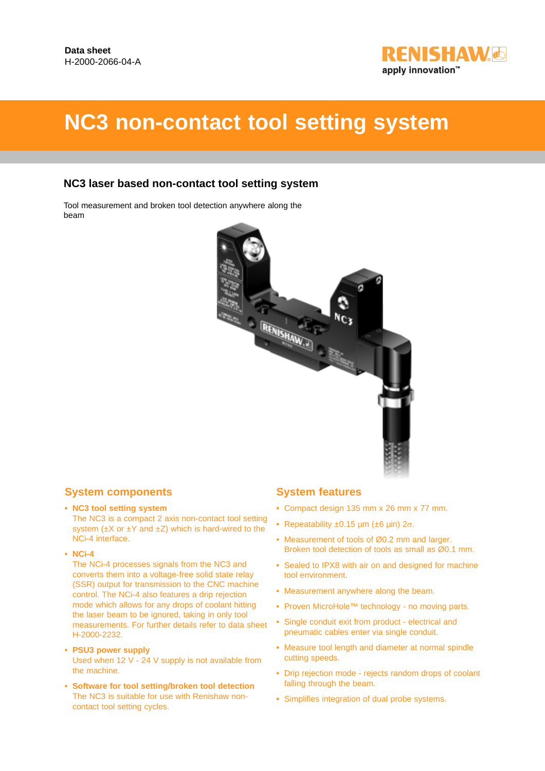

# **NC3 non-contact tool setting system**

## **NC3 laser based non-contact tool setting system**

Tool measurement and broken tool detection anywhere along the beam



### **System components**

**• NC3 tool setting system**

The NC3 is a compact 2 axis non-contact tool setting system  $(\pm X \text{ or } \pm Y \text{ and } \pm Z)$  which is hard-wired to the NCi-4 interface.

**• NCi-4**

The NCi-4 processes signals from the NC3 and converts them into a voltage-free solid state relay (SSR) output for transmission to the CNC machine control. The NCi-4 also features a drip rejection mode which allows for any drops of coolant hitting the laser beam to be ignored, taking in only tool measurements. For further details refer to data sheet H-2000-2232.

- **PSU3 power supply** Used when 12 V - 24 V supply is not available from the machine.
- **Software for tool setting/broken tool detection** The NC3 is suitable for use with Renishaw noncontact tool setting cycles.

## **System features**

- **•** Compact design 135 mm x 26 mm x 77 mm.
- **•** Repeatability ±0.15 µm (±6 µin) 2σ.
- **•** Measurement of tools of Ø0.2 mm and larger. Broken tool detection of tools as small as Ø0.1 mm.
- **•** Sealed to IPX8 with air on and designed for machine tool environment.
- **•** Measurement anywhere along the beam.
- **•** Proven MicroHole™ technology no moving parts.
- **•** Single conduit exit from product electrical and pneumatic cables enter via single conduit.
- **•** Measure tool length and diameter at normal spindle cutting speeds.
- **•** Drip rejection mode rejects random drops of coolant falling through the beam.
- **•** Simplifies integration of dual probe systems.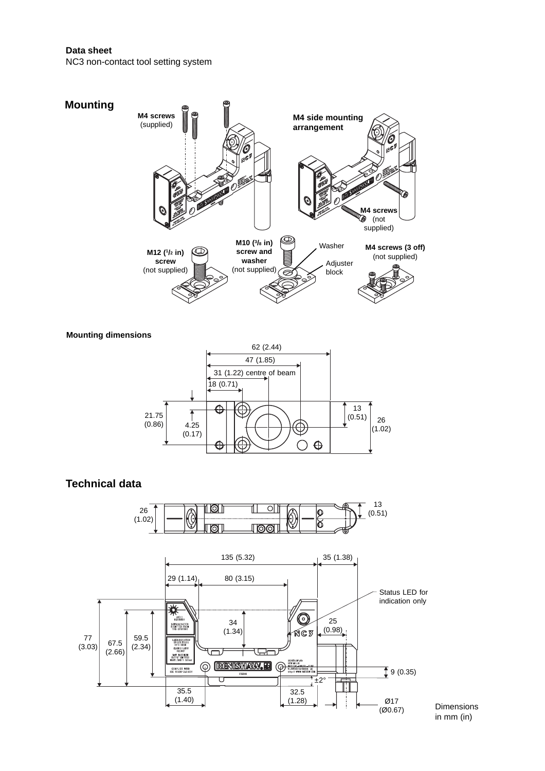#### **Data sheet**

NC3 non-contact tool setting system



```
Mounting dimensions
```


# **Technical data**



Dimensions in mm (in)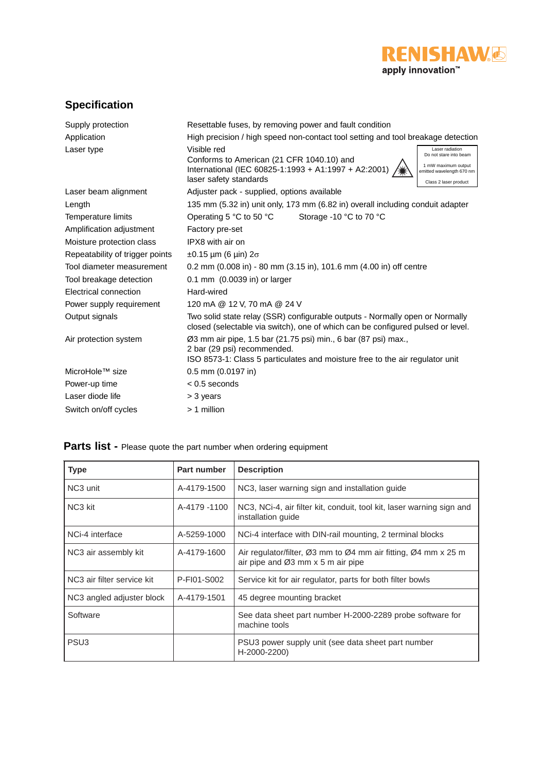

# **Specification**

| Supply protection               | Resettable fuses, by removing power and fault condition                                                                                                                                                                                                              |  |  |
|---------------------------------|----------------------------------------------------------------------------------------------------------------------------------------------------------------------------------------------------------------------------------------------------------------------|--|--|
| Application                     | High precision / high speed non-contact tool setting and tool breakage detection                                                                                                                                                                                     |  |  |
| Laser type                      | Visible red<br>Laser radiation<br>Do not stare into beam<br>Conforms to American (21 CFR 1040.10) and<br>1 mW maximum output<br>International (IEC 60825-1:1993 + A1:1997 + A2:2001)<br>emitted wavelength 670 nm<br>laser safety standards<br>Class 2 laser product |  |  |
| Laser beam alignment            | Adjuster pack - supplied, options available                                                                                                                                                                                                                          |  |  |
| Length                          | 135 mm (5.32 in) unit only, 173 mm (6.82 in) overall including conduit adapter                                                                                                                                                                                       |  |  |
| Temperature limits              | Storage -10 °C to 70 °C<br>Operating 5 $\degree$ C to 50 $\degree$ C                                                                                                                                                                                                 |  |  |
| Amplification adjustment        | Factory pre-set                                                                                                                                                                                                                                                      |  |  |
| Moisture protection class       | IPX8 with air on                                                                                                                                                                                                                                                     |  |  |
| Repeatability of trigger points | $\pm 0.15$ µm (6 µin) $2\sigma$                                                                                                                                                                                                                                      |  |  |
| Tool diameter measurement       | 0.2 mm (0.008 in) - 80 mm (3.15 in), 101.6 mm (4.00 in) off centre                                                                                                                                                                                                   |  |  |
| Tool breakage detection         | 0.1 mm (0.0039 in) or larger                                                                                                                                                                                                                                         |  |  |
| Electrical connection           | Hard-wired                                                                                                                                                                                                                                                           |  |  |
| Power supply requirement        | 120 mA @ 12 V, 70 mA @ 24 V                                                                                                                                                                                                                                          |  |  |
| Output signals                  | Two solid state relay (SSR) configurable outputs - Normally open or Normally<br>closed (selectable via switch), one of which can be configured pulsed or level.                                                                                                      |  |  |
| Air protection system           | Ø3 mm air pipe, 1.5 bar (21.75 psi) min., 6 bar (87 psi) max.,<br>2 bar (29 psi) recommended.<br>ISO 8573-1: Class 5 particulates and moisture free to the air regulator unit                                                                                        |  |  |
| MicroHole <sup>™</sup> size     | 0.5 mm (0.0197 in)                                                                                                                                                                                                                                                   |  |  |
| Power-up time                   | $< 0.5$ seconds                                                                                                                                                                                                                                                      |  |  |
| Laser diode life                | > 3 years                                                                                                                                                                                                                                                            |  |  |
| Switch on/off cycles            | $>1$ million                                                                                                                                                                                                                                                         |  |  |

# Parts list - Please quote the part number when ordering equipment

| <b>Type</b>                | <b>Part number</b> | <b>Description</b>                                                                                                                                      |
|----------------------------|--------------------|---------------------------------------------------------------------------------------------------------------------------------------------------------|
| NC <sub>3</sub> unit       | A-4179-1500        | NC3, laser warning sign and installation guide                                                                                                          |
| NC <sub>3</sub> kit        | A-4179 -1100       | NC3, NCi-4, air filter kit, conduit, tool kit, laser warning sign and<br>installation quide                                                             |
| NCi-4 interface            | A-5259-1000        | NCi-4 interface with DIN-rail mounting, 2 terminal blocks                                                                                               |
| NC3 air assembly kit       | A-4179-1600        | Air regulator/filter, $\varnothing$ 3 mm to $\varnothing$ 4 mm air fitting, $\varnothing$ 4 mm x 25 m<br>air pipe and $\varnothing$ 3 mm x 5 m air pipe |
| NC3 air filter service kit | P-FI01-S002        | Service kit for air regulator, parts for both filter bowls                                                                                              |
| NC3 angled adjuster block  | A-4179-1501        | 45 degree mounting bracket                                                                                                                              |
| Software                   |                    | See data sheet part number H-2000-2289 probe software for<br>machine tools                                                                              |
| PSU <sub>3</sub>           |                    | PSU3 power supply unit (see data sheet part number<br>H-2000-2200)                                                                                      |